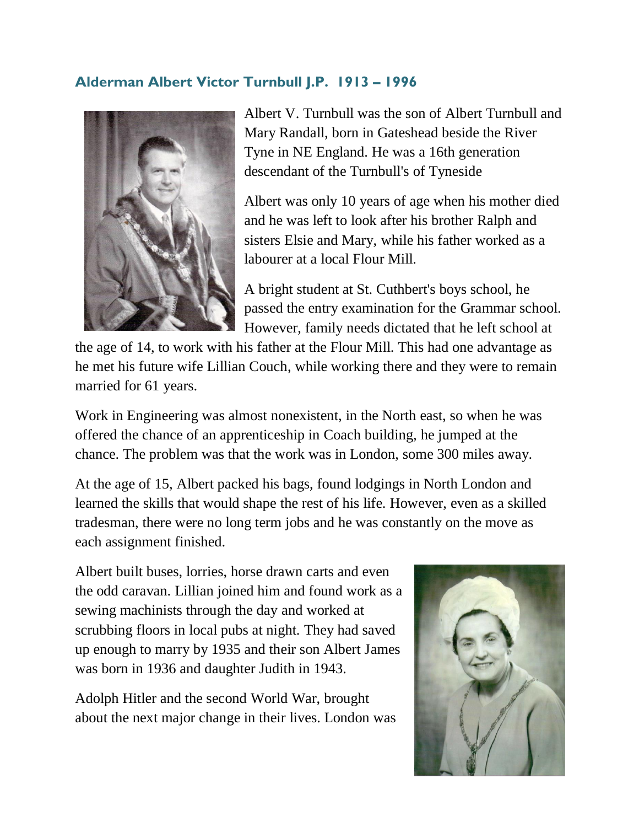## **Alderman Albert Victor Turnbull J.P. 1913 – 1996**



Albert V. Turnbull was the son of Albert Turnbull and Mary Randall, born in Gateshead beside the River Tyne in NE England. He was a 16th generation descendant of the Turnbull's of Tyneside

Albert was only 10 years of age when his mother died and he was left to look after his brother Ralph and sisters Elsie and Mary, while his father worked as a labourer at a local Flour Mill.

A bright student at St. Cuthbert's boys school, he passed the entry examination for the Grammar school. However, family needs dictated that he left school at

the age of 14, to work with his father at the Flour Mill. This had one advantage as he met his future wife Lillian Couch, while working there and they were to remain married for 61 years.

Work in Engineering was almost nonexistent, in the North east, so when he was offered the chance of an apprenticeship in Coach building, he jumped at the chance. The problem was that the work was in London, some 300 miles away.

At the age of 15, Albert packed his bags, found lodgings in North London and learned the skills that would shape the rest of his life. However, even as a skilled tradesman, there were no long term jobs and he was constantly on the move as each assignment finished.

Albert built buses, lorries, horse drawn carts and even the odd caravan. Lillian joined him and found work as a sewing machinists through the day and worked at scrubbing floors in local pubs at night. They had saved up enough to marry by 1935 and their son Albert James was born in 1936 and daughter Judith in 1943.

Adolph Hitler and the second World War, brought about the next major change in their lives. London was

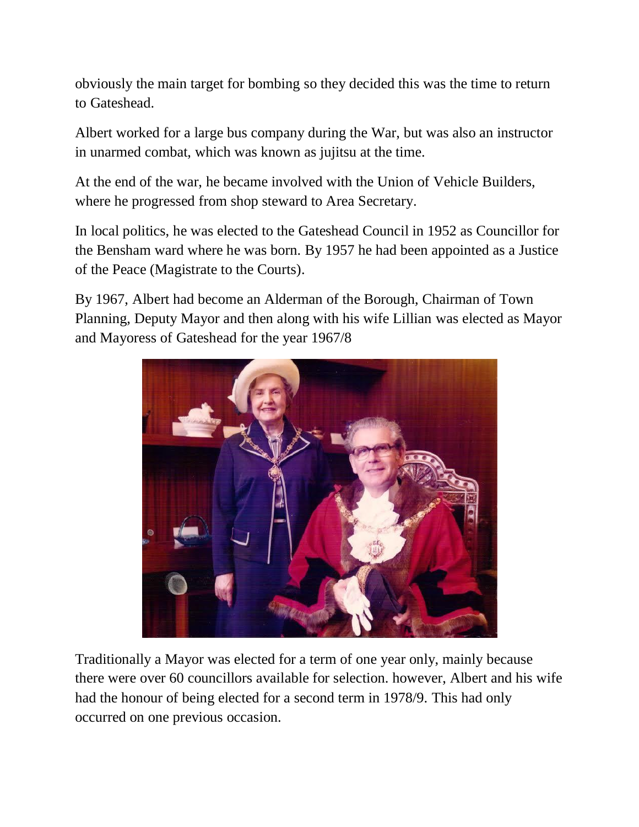obviously the main target for bombing so they decided this was the time to return to Gateshead.

Albert worked for a large bus company during the War, but was also an instructor in unarmed combat, which was known as jujitsu at the time.

At the end of the war, he became involved with the Union of Vehicle Builders, where he progressed from shop steward to Area Secretary.

In local politics, he was elected to the Gateshead Council in 1952 as Councillor for the Bensham ward where he was born. By 1957 he had been appointed as a Justice of the Peace (Magistrate to the Courts).

By 1967, Albert had become an Alderman of the Borough, Chairman of Town Planning, Deputy Mayor and then along with his wife Lillian was elected as Mayor and Mayoress of Gateshead for the year 1967/8



Traditionally a Mayor was elected for a term of one year only, mainly because there were over 60 councillors available for selection. however, Albert and his wife had the honour of being elected for a second term in 1978/9. This had only occurred on one previous occasion.